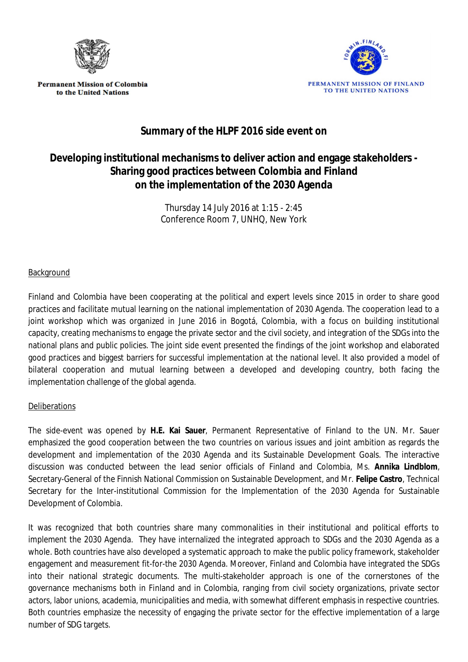

**Permanent Mission of Colombia** to the United Nations



## **Summary of the HLPF 2016 side event on**

## **Developing institutional mechanisms to deliver action and engage stakeholders - Sharing good practices between Colombia and Finland on the implementation of the 2030 Agenda**

Thursday 14 July 2016 at 1:15 - 2:45 Conference Room 7, UNHQ, New York

## Background

Finland and Colombia have been cooperating at the political and expert levels since 2015 in order to share good practices and facilitate mutual learning on the national implementation of 2030 Agenda. The cooperation lead to a joint workshop which was organized in June 2016 in Bogotá, Colombia, with a focus on building institutional capacity, creating mechanisms to engage the private sector and the civil society, and integration of the SDGs into the national plans and public policies. The joint side event presented the findings of the joint workshop and elaborated good practices and biggest barriers for successful implementation at the national level. It also provided a model of bilateral cooperation and mutual learning between a developed and developing country, both facing the implementation challenge of the global agenda.

## **Deliberations**

The side-event was opened by **H.E. Kai Sauer**, Permanent Representative of Finland to the UN. Mr. Sauer emphasized the good cooperation between the two countries on various issues and joint ambition as regards the development and implementation of the 2030 Agenda and its Sustainable Development Goals. The interactive discussion was conducted between the lead senior officials of Finland and Colombia, Ms. **Annika Lindblom**, Secretary-General of the Finnish National Commission on Sustainable Development, and Mr. **Felipe Castro**, Technical Secretary for the Inter-institutional Commission for the Implementation of the 2030 Agenda for Sustainable Development of Colombia.

It was recognized that both countries share many commonalities in their institutional and political efforts to implement the 2030 Agenda. They have internalized the integrated approach to SDGs and the 2030 Agenda as a whole. Both countries have also developed a systematic approach to make the public policy framework, stakeholder engagement and measurement fit-for-the 2030 Agenda. Moreover, Finland and Colombia have integrated the SDGs into their national strategic documents. The multi-stakeholder approach is one of the cornerstones of the governance mechanisms both in Finland and in Colombia, ranging from civil society organizations, private sector actors, labor unions, academia, municipalities and media, with somewhat different emphasis in respective countries. Both countries emphasize the necessity of engaging the private sector for the effective implementation of a large number of SDG targets.